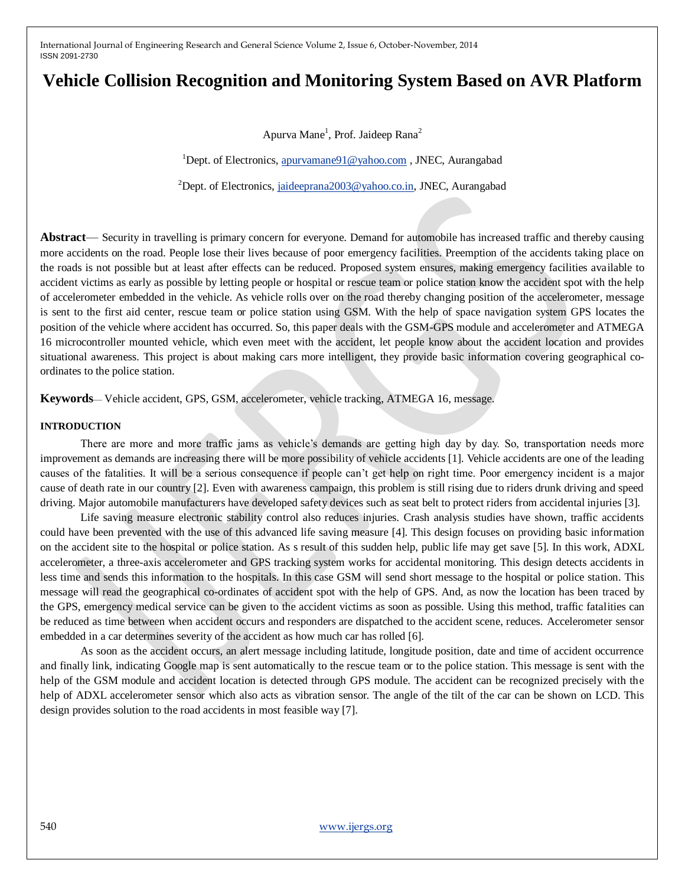# **Vehicle Collision Recognition and Monitoring System Based on AVR Platform**

Apurva Mane<sup>1</sup>, Prof. Jaideep Rana<sup>2</sup>

<sup>1</sup>Dept. of Electronics[, apurvamane91@yahoo.com](mailto:apurvamane91@yahoo.com), JNEC, Aurangabad

<sup>2</sup>Dept. of Electronics, [jaideeprana2003@yahoo.co.in,](mailto:jaideeprana2003@yahoo.co.in) JNEC, Aurangabad

**Abstract**— Security in travelling is primary concern for everyone. Demand for automobile has increased traffic and thereby causing more accidents on the road. People lose their lives because of poor emergency facilities. Preemption of the accidents taking place on the roads is not possible but at least after effects can be reduced. Proposed system ensures, making emergency facilities available to accident victims as early as possible by letting people or hospital or rescue team or police station know the accident spot with the help of accelerometer embedded in the vehicle. As vehicle rolls over on the road thereby changing position of the accelerometer, message is sent to the first aid center, rescue team or police station using GSM. With the help of space navigation system GPS locates the position of the vehicle where accident has occurred. So, this paper deals with the GSM-GPS module and accelerometer and ATMEGA 16 microcontroller mounted vehicle, which even meet with the accident, let people know about the accident location and provides situational awareness. This project is about making cars more intelligent, they provide basic information covering geographical coordinates to the police station.

**Keywords**— Vehicle accident, GPS, GSM, accelerometer, vehicle tracking, ATMEGA 16, message.

#### **INTRODUCTION**

There are more and more traffic jams as vehicle's demands are getting high day by day. So, transportation needs more improvement as demands are increasing there will be more possibility of vehicle accidents [1]. Vehicle accidents are one of the leading causes of the fatalities. It will be a serious consequence if people can't get help on right time. Poor emergency incident is a major cause of death rate in our country [2]. Even with awareness campaign, this problem is still rising due to riders drunk driving and speed driving. Major automobile manufacturers have developed safety devices such as seat belt to protect riders from accidental injuries [3].

Life saving measure electronic stability control also reduces injuries. Crash analysis studies have shown, traffic accidents could have been prevented with the use of this advanced life saving measure [4]. This design focuses on providing basic information on the accident site to the hospital or police station. As s result of this sudden help, public life may get save [5]. In this work, ADXL accelerometer, a three-axis accelerometer and GPS tracking system works for accidental monitoring. This design detects accidents in less time and sends this information to the hospitals. In this case GSM will send short message to the hospital or police station. This message will read the geographical co-ordinates of accident spot with the help of GPS. And, as now the location has been traced by the GPS, emergency medical service can be given to the accident victims as soon as possible. Using this method, traffic fatalities can be reduced as time between when accident occurs and responders are dispatched to the accident scene, reduces. Accelerometer sensor embedded in a car determines severity of the accident as how much car has rolled [6].

As soon as the accident occurs, an alert message including latitude, longitude position, date and time of accident occurrence and finally link, indicating Google map is sent automatically to the rescue team or to the police station. This message is sent with the help of the GSM module and accident location is detected through GPS module. The accident can be recognized precisely with the help of ADXL accelerometer sensor which also acts as vibration sensor. The angle of the tilt of the car can be shown on LCD. This design provides solution to the road accidents in most feasible way [7].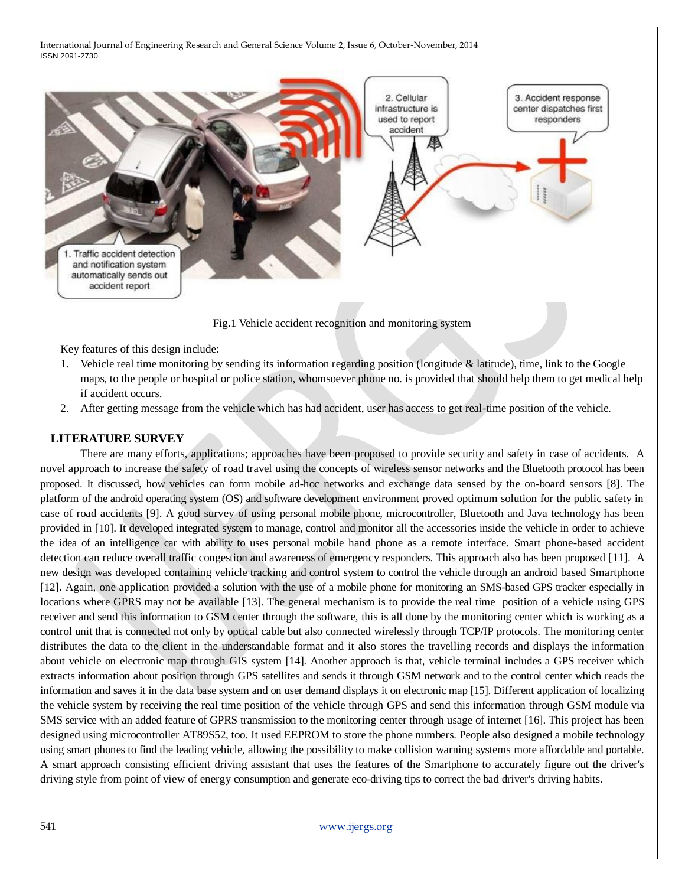

Key features of this design include:

- 1. Vehicle real time monitoring by sending its information regarding position (longitude & latitude), time, link to the Google maps, to the people or hospital or police station, whomsoever phone no. is provided that should help them to get medical help if accident occurs.
- 2. After getting message from the vehicle which has had accident, user has access to get real-time position of the vehicle.

## **LITERATURE SURVEY**

There are many efforts, applications; approaches have been proposed to provide security and safety in case of accidents. A novel approach to increase the safety of road travel using the concepts of wireless sensor networks and the Bluetooth protocol has been proposed. It discussed, how vehicles can form mobile ad-hoc networks and exchange data sensed by the on-board sensors [8]. The platform of the android operating system (OS) and software development environment proved optimum solution for the public safety in case of road accidents [9]. A good survey of using personal mobile phone, microcontroller, Bluetooth and Java technology has been provided in [10]. It developed integrated system to manage, control and monitor all the accessories inside the vehicle in order to achieve the idea of an intelligence car with ability to uses personal mobile hand phone as a remote interface. Smart phone-based accident detection can reduce overall traffic congestion and awareness of emergency responders. This approach also has been proposed [11]. A new design was developed containing vehicle tracking and control system to control the vehicle through an android based Smartphone [12]. Again, one application provided a solution with the use of a mobile phone for monitoring an SMS-based GPS tracker especially in locations where GPRS may not be available [13]. The general mechanism is to provide the real time position of a vehicle using GPS receiver and send this information to GSM center through the software, this is all done by the monitoring center which is working as a control unit that is connected not only by optical cable but also connected wirelessly through TCP/IP protocols. The monitoring center distributes the data to the client in the understandable format and it also stores the travelling records and displays the information about vehicle on electronic map through GIS system [14]. Another approach is that, vehicle terminal includes a GPS receiver which extracts information about position through GPS satellites and sends it through GSM network and to the control center which reads the information and saves it in the data base system and on user demand displays it on electronic map [15]. Different application of localizing the vehicle system by receiving the real time position of the vehicle through GPS and send this information through GSM module via SMS service with an added feature of GPRS transmission to the monitoring center through usage of internet [16]. This project has been designed using microcontroller AT89S52, too. It used EEPROM to store the phone numbers. People also designed a mobile technology using smart phones to find the leading vehicle, allowing the possibility to make collision warning systems more affordable and portable. A smart approach consisting efficient driving assistant that uses the features of the Smartphone to accurately figure out the driver's driving style from point of view of energy consumption and generate eco-driving tips to correct the bad driver's driving habits.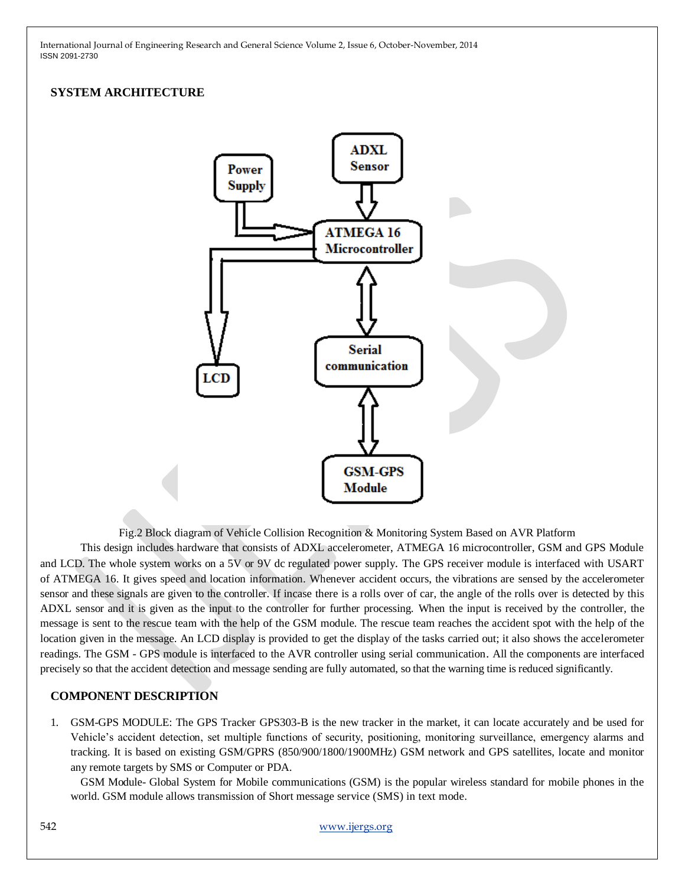# **SYSTEM ARCHITECTURE**



Fig.2 Block diagram of Vehicle Collision Recognition & Monitoring System Based on AVR Platform

This design includes hardware that consists of ADXL accelerometer, ATMEGA 16 microcontroller, GSM and GPS Module and LCD. The whole system works on a 5V or 9V dc regulated power supply. The GPS receiver module is interfaced with USART of ATMEGA 16. It gives speed and location information. Whenever accident occurs, the vibrations are sensed by the accelerometer sensor and these signals are given to the controller. If incase there is a rolls over of car, the angle of the rolls over is detected by this ADXL sensor and it is given as the input to the controller for further processing. When the input is received by the controller, the message is sent to the rescue team with the help of the GSM module. The rescue team reaches the accident spot with the help of the location given in the message. An LCD display is provided to get the display of the tasks carried out; it also shows the accelerometer readings. The GSM - GPS module is interfaced to the AVR controller using serial communication. All the components are interfaced precisely so that the accident detection and message sending are fully automated, so that the warning time is reduced significantly.

## **COMPONENT DESCRIPTION**

1. GSM-GPS MODULE: The GPS Tracker GPS303-B is the new tracker in the market, it can locate accurately and be used for Vehicle's accident detection, set multiple functions of security, positioning, monitoring surveillance, emergency alarms and tracking. It is based on existing GSM/GPRS (850/900/1800/1900MHz) GSM network and GPS satellites, locate and monitor any remote targets by SMS or Computer or PDA.

GSM Module- Global System for Mobile communications (GSM) is the popular wireless standard for mobile phones in the world. GSM module allows transmission of Short message service (SMS) in text mode.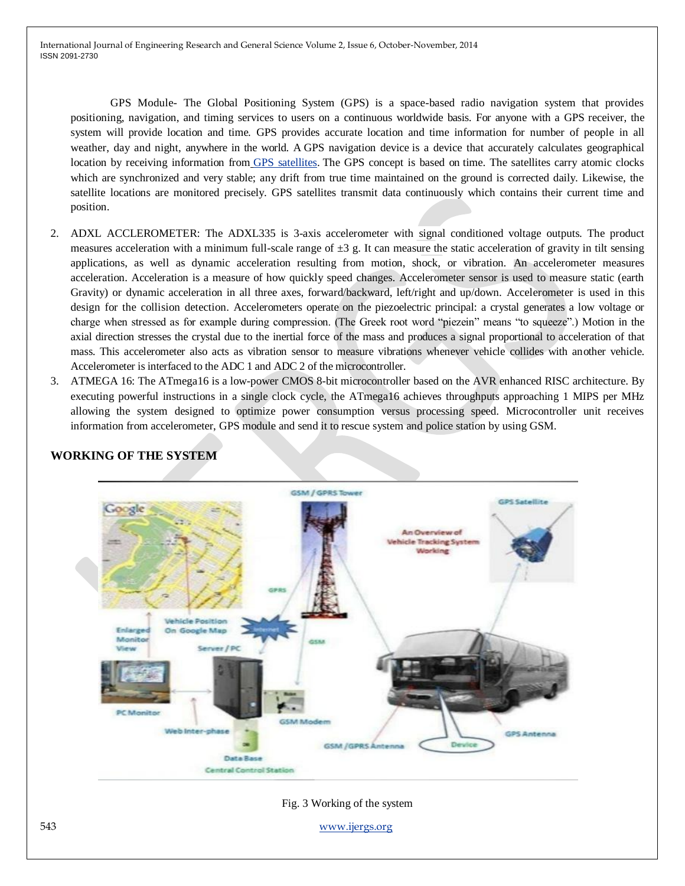GPS Module- The Global Positioning System (GPS) is a space-based radio navigation system that provides positioning, navigation, and timing services to users on a continuous worldwide basis. For anyone with a GPS receiver, the system will provide location and time. GPS provides accurate location and time information for number of people in all weather, day and night, anywhere in the world. A GPS navigation device is a device that accurately calculates geographical location by receiving information from [GPS satellites.](http://en.wikipedia.org/wiki/GPS_satellites) The GPS concept is based on time. The satellites carry atomic clocks which are synchronized and very stable; any drift from true time maintained on the ground is corrected daily. Likewise, the satellite locations are monitored precisely. GPS satellites transmit data continuously which contains their current time and position.

- 2. ADXL ACCLEROMETER: The ADXL335 is 3-axis accelerometer with signal conditioned voltage outputs. The product measures acceleration with a minimum full-scale range of  $\pm 3$  g. It can measure the static acceleration of gravity in tilt sensing applications, as well as dynamic acceleration resulting from motion, shock, or vibration. An accelerometer measures acceleration. Acceleration is a measure of how quickly speed changes. Accelerometer sensor is used to measure static (earth Gravity) or dynamic acceleration in all three axes, forward/backward, left/right and up/down. Accelerometer is used in this design for the collision detection. Accelerometers operate on the piezoelectric principal: a crystal generates a low voltage or charge when stressed as for example during compression. (The Greek root word "piezein" means "to squeeze".) Motion in the axial direction stresses the crystal due to the inertial force of the mass and produces a signal proportional to acceleration of that mass. This accelerometer also acts as vibration sensor to measure vibrations whenever vehicle collides with another vehicle. Accelerometer is interfaced to the ADC 1 and ADC 2 of the microcontroller.
- 3. ATMEGA 16: The ATmega16 is a low-power CMOS 8-bit microcontroller based on the AVR enhanced RISC architecture. By executing powerful instructions in a single clock cycle, the ATmega16 achieves throughputs approaching 1 MIPS per MHz allowing the system designed to optimize power consumption versus processing speed. Microcontroller unit receives information from accelerometer, GPS module and send it to rescue system and police station by using GSM.



# **WORKING OF THE SYSTEM**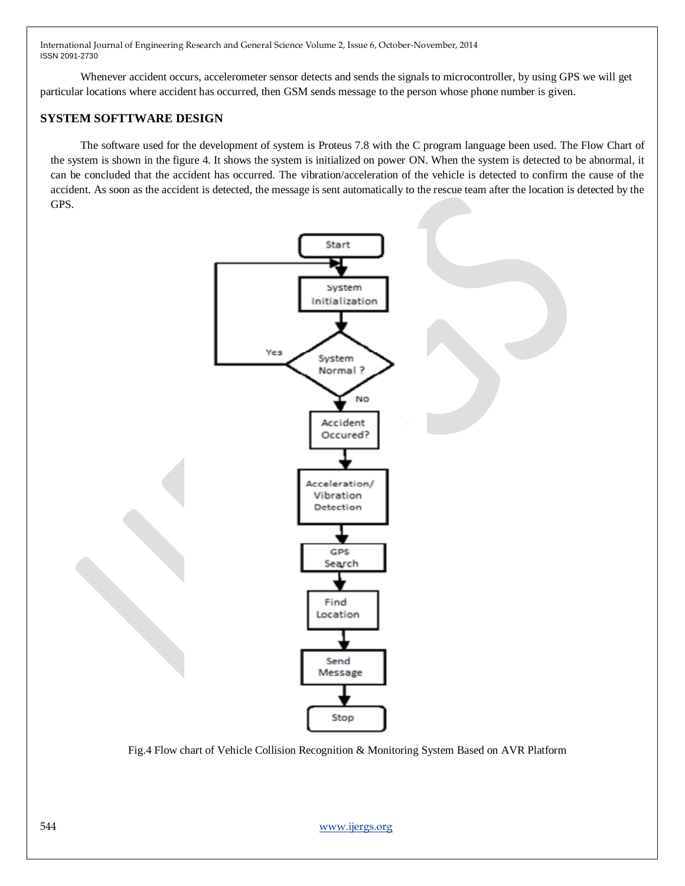Whenever accident occurs, accelerometer sensor detects and sends the signals to microcontroller, by using GPS we will get particular locations where accident has occurred, then GSM sends message to the person whose phone number is given.

## **SYSTEM SOFTTWARE DESIGN**

The software used for the development of system is Proteus 7.8 with the C program language been used. The Flow Chart of the system is shown in the figure 4. It shows the system is initialized on power ON. When the system is detected to be abnormal, it can be concluded that the accident has occurred. The vibration/acceleration of the vehicle is detected to confirm the cause of the accident. As soon as the accident is detected, the message is sent automatically to the rescue team after the location is detected by the GPS.



Fig.4 Flow chart of Vehicle Collision Recognition & Monitoring System Based on AVR Platform

544 www.ijergs.org